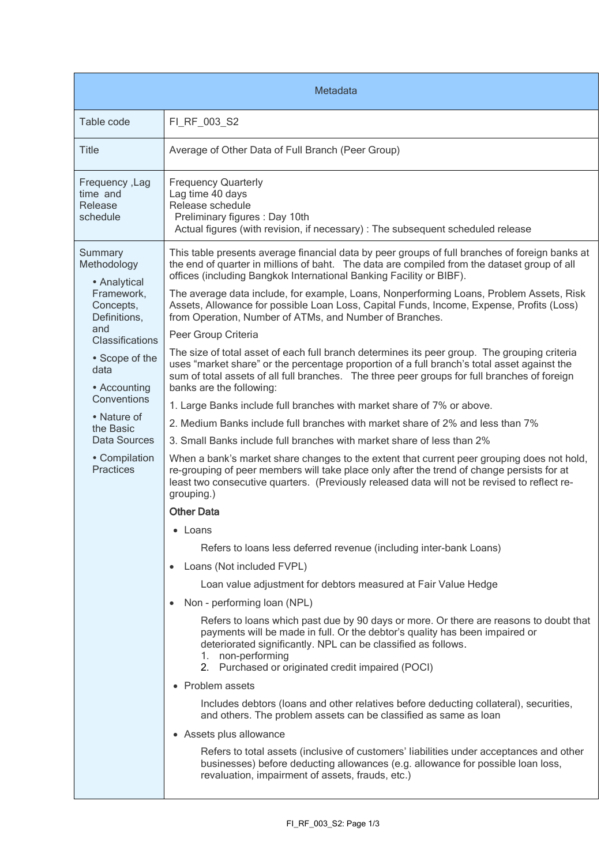| Metadata                                                                                                                                              |                                                                                                                                                                                                                                                                                                                         |  |
|-------------------------------------------------------------------------------------------------------------------------------------------------------|-------------------------------------------------------------------------------------------------------------------------------------------------------------------------------------------------------------------------------------------------------------------------------------------------------------------------|--|
| Table code                                                                                                                                            | FI RF 003 S2                                                                                                                                                                                                                                                                                                            |  |
| Title                                                                                                                                                 | Average of Other Data of Full Branch (Peer Group)                                                                                                                                                                                                                                                                       |  |
| Frequency, Lag<br>time and<br>Release<br>schedule                                                                                                     | <b>Frequency Quarterly</b><br>Lag time 40 days<br>Release schedule<br>Preliminary figures : Day 10th<br>Actual figures (with revision, if necessary) : The subsequent scheduled release                                                                                                                                 |  |
| Summary<br>Methodology<br>• Analytical<br>Framework,<br>Concepts,<br>Definitions,<br>and<br>Classifications<br>• Scope of the<br>data<br>• Accounting | This table presents average financial data by peer groups of full branches of foreign banks at<br>the end of quarter in millions of baht. The data are compiled from the dataset group of all<br>offices (including Bangkok International Banking Facility or BIBF).                                                    |  |
|                                                                                                                                                       | The average data include, for example, Loans, Nonperforming Loans, Problem Assets, Risk<br>Assets, Allowance for possible Loan Loss, Capital Funds, Income, Expense, Profits (Loss)<br>from Operation, Number of ATMs, and Number of Branches.                                                                          |  |
|                                                                                                                                                       | Peer Group Criteria                                                                                                                                                                                                                                                                                                     |  |
|                                                                                                                                                       | The size of total asset of each full branch determines its peer group. The grouping criteria<br>uses "market share" or the percentage proportion of a full branch's total asset against the<br>sum of total assets of all full branches. The three peer groups for full branches of foreign<br>banks are the following: |  |
| Conventions                                                                                                                                           | 1. Large Banks include full branches with market share of 7% or above.                                                                                                                                                                                                                                                  |  |
| • Nature of<br>the Basic<br>Data Sources<br>• Compilation<br><b>Practices</b>                                                                         | 2. Medium Banks include full branches with market share of 2% and less than 7%                                                                                                                                                                                                                                          |  |
|                                                                                                                                                       | 3. Small Banks include full branches with market share of less than 2%                                                                                                                                                                                                                                                  |  |
|                                                                                                                                                       | When a bank's market share changes to the extent that current peer grouping does not hold,<br>re-grouping of peer members will take place only after the trend of change persists for at<br>least two consecutive quarters. (Previously released data will not be revised to reflect re-<br>grouping.)                  |  |
|                                                                                                                                                       | <b>Other Data</b>                                                                                                                                                                                                                                                                                                       |  |
|                                                                                                                                                       | • Loans                                                                                                                                                                                                                                                                                                                 |  |
|                                                                                                                                                       | Refers to loans less deferred revenue (including inter-bank Loans)                                                                                                                                                                                                                                                      |  |
|                                                                                                                                                       | Loans (Not included FVPL)<br>$\bullet$                                                                                                                                                                                                                                                                                  |  |
|                                                                                                                                                       | Loan value adjustment for debtors measured at Fair Value Hedge                                                                                                                                                                                                                                                          |  |
|                                                                                                                                                       | Non - performing loan (NPL)<br>$\bullet$                                                                                                                                                                                                                                                                                |  |
|                                                                                                                                                       | Refers to loans which past due by 90 days or more. Or there are reasons to doubt that<br>payments will be made in full. Or the debtor's quality has been impaired or<br>deteriorated significantly. NPL can be classified as follows.<br>1. non-performing<br>2. Purchased or originated credit impaired (POCI)         |  |
|                                                                                                                                                       | • Problem assets                                                                                                                                                                                                                                                                                                        |  |
|                                                                                                                                                       | Includes debtors (loans and other relatives before deducting collateral), securities,<br>and others. The problem assets can be classified as same as loan                                                                                                                                                               |  |
|                                                                                                                                                       | • Assets plus allowance                                                                                                                                                                                                                                                                                                 |  |
|                                                                                                                                                       | Refers to total assets (inclusive of customers' liabilities under acceptances and other<br>businesses) before deducting allowances (e.g. allowance for possible loan loss,<br>revaluation, impairment of assets, frauds, etc.)                                                                                          |  |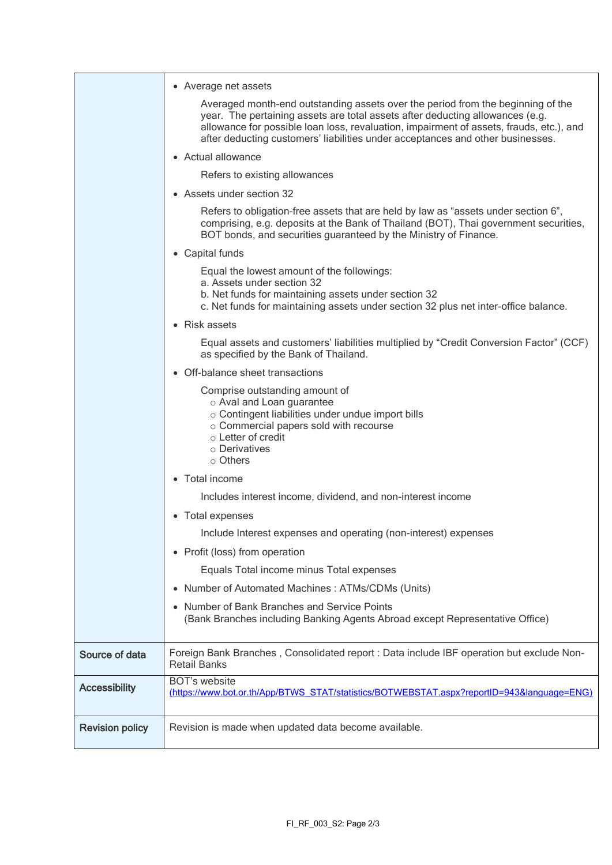|                        | • Average net assets                                                                                                                                                                                                                                                                                                                          |
|------------------------|-----------------------------------------------------------------------------------------------------------------------------------------------------------------------------------------------------------------------------------------------------------------------------------------------------------------------------------------------|
|                        | Averaged month-end outstanding assets over the period from the beginning of the<br>year. The pertaining assets are total assets after deducting allowances (e.g.<br>allowance for possible loan loss, revaluation, impairment of assets, frauds, etc.), and<br>after deducting customers' liabilities under acceptances and other businesses. |
|                        | • Actual allowance                                                                                                                                                                                                                                                                                                                            |
|                        | Refers to existing allowances                                                                                                                                                                                                                                                                                                                 |
|                        | • Assets under section 32                                                                                                                                                                                                                                                                                                                     |
|                        | Refers to obligation-free assets that are held by law as "assets under section 6",<br>comprising, e.g. deposits at the Bank of Thailand (BOT), Thai government securities,<br>BOT bonds, and securities guaranteed by the Ministry of Finance.                                                                                                |
|                        | • Capital funds                                                                                                                                                                                                                                                                                                                               |
|                        | Equal the lowest amount of the followings:<br>a. Assets under section 32<br>b. Net funds for maintaining assets under section 32                                                                                                                                                                                                              |
|                        | c. Net funds for maintaining assets under section 32 plus net inter-office balance.                                                                                                                                                                                                                                                           |
|                        | • Risk assets                                                                                                                                                                                                                                                                                                                                 |
|                        | Equal assets and customers' liabilities multiplied by "Credit Conversion Factor" (CCF)<br>as specified by the Bank of Thailand.                                                                                                                                                                                                               |
|                        | • Off-balance sheet transactions                                                                                                                                                                                                                                                                                                              |
|                        | Comprise outstanding amount of<br>o Aval and Loan guarantee<br>o Contingent liabilities under undue import bills<br>o Commercial papers sold with recourse<br>○ Letter of credit<br>o Derivatives<br>○ Others                                                                                                                                 |
|                        | • Total income                                                                                                                                                                                                                                                                                                                                |
|                        | Includes interest income, dividend, and non-interest income                                                                                                                                                                                                                                                                                   |
|                        | • Total expenses                                                                                                                                                                                                                                                                                                                              |
|                        | Include Interest expenses and operating (non-interest) expenses                                                                                                                                                                                                                                                                               |
|                        | • Profit (loss) from operation                                                                                                                                                                                                                                                                                                                |
|                        | Equals Total income minus Total expenses                                                                                                                                                                                                                                                                                                      |
|                        | • Number of Automated Machines: ATMs/CDMs (Units)                                                                                                                                                                                                                                                                                             |
|                        | Number of Bank Branches and Service Points<br>(Bank Branches including Banking Agents Abroad except Representative Office)                                                                                                                                                                                                                    |
| Source of data         | Foreign Bank Branches, Consolidated report : Data include IBF operation but exclude Non-<br><b>Retail Banks</b>                                                                                                                                                                                                                               |
| <b>Accessibility</b>   | <b>BOT's website</b><br>(https://www.bot.or.th/App/BTWS_STAT/statistics/BOTWEBSTAT.aspx?reportID=943&language=ENG)                                                                                                                                                                                                                            |
| <b>Revision policy</b> | Revision is made when updated data become available.                                                                                                                                                                                                                                                                                          |